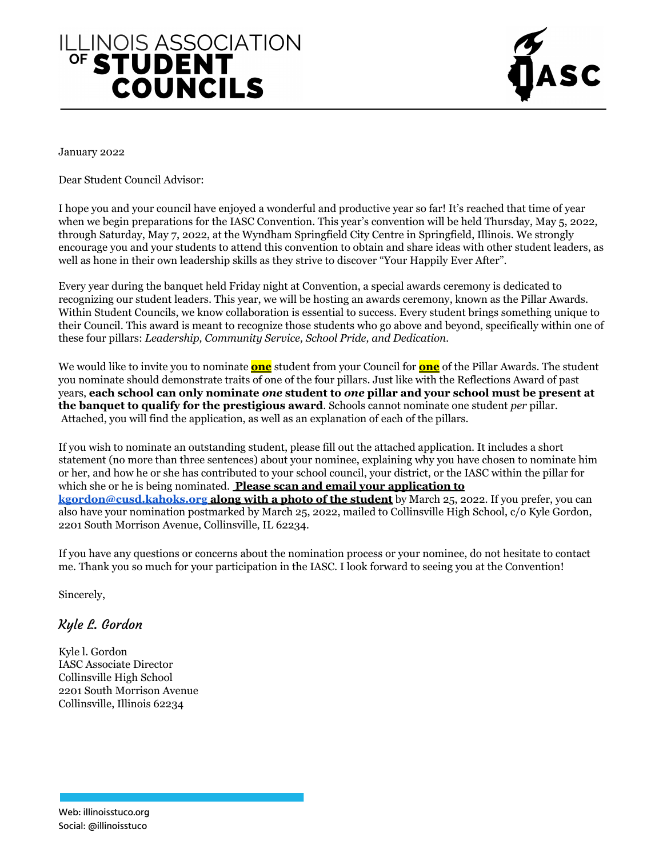## ILLINOIS ASSOCIATION **COUNCILS**



January 2022

Dear Student Council Advisor:

I hope you and your council have enjoyed a wonderful and productive year so far! It's reached that time of year when we begin preparations for the IASC Convention. This year's convention will be held Thursday, May 5, 2022, through Saturday, May 7, 2022, at the Wyndham Springfield City Centre in Springfield, Illinois. We strongly encourage you and your students to attend this convention to obtain and share ideas with other student leaders, as well as hone in their own leadership skills as they strive to discover "Your Happily Ever After".

Every year during the banquet held Friday night at Convention, a special awards ceremony is dedicated to recognizing our student leaders. This year, we will be hosting an awards ceremony, known as the Pillar Awards. Within Student Councils, we know collaboration is essential to success. Every student brings something unique to their Council. This award is meant to recognize those students who go above and beyond, specifically within one of these four pillars: *Leadership, Community Service, School Pride, and Dedication.*

We would like to invite you to nominate **one** student from your Council for **one** of the Pillar Awards. The student you nominate should demonstrate traits of one of the four pillars. Just like with the Reflections Award of past years, **each school can only nominate** *one* **student to** *one* **pillar and your school must be present at the banquet to qualify for the prestigious award**. Schools cannot nominate one student *per* pillar. Attached, you will find the application, as well as an explanation of each of the pillars.

If you wish to nominate an outstanding student, please fill out the attached application. It includes a short statement (no more than three sentences) about your nominee, explaining why you have chosen to nominate him or her, and how he or she has contributed to your school council, your district, or the IASC within the pillar for which she or he is being nominated. **Please scan and email your application to [kgordon@cusd.kahoks.org](mailto:kgordon@cusd.kahoks.org) along with a photo of the student** by March 25, 2022. If you prefer, you can also have your nomination postmarked by March 25, 2022, mailed to Collinsville High School, c/o Kyle Gordon, 2201 South Morrison Avenue, Collinsville, IL 62234.

If you have any questions or concerns about the nomination process or your nominee, do not hesitate to contact me. Thank you so much for your participation in the IASC. I look forward to seeing you at the Convention!

Sincerely,

## Kyle L. Gordon

Kyle l. Gordon IASC Associate Director Collinsville High School 2201 South Morrison Avenue Collinsville, Illinois 62234